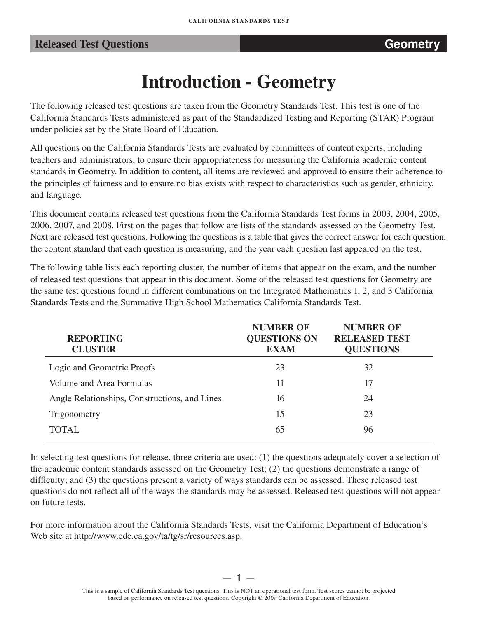## **Released Test Questions <b>CEO CEO CEO** *Released* **Geometry**

# **Introduction - Geometry**

The following released test questions are taken from the Geometry Standards Test. This test is one of the California Standards Tests administered as part of the Standardized Testing and Reporting (STAR) Program under policies set by the State Board of Education.

All questions on the California Standards Tests are evaluated by committees of content experts, including teachers and administrators, to ensure their appropriateness for measuring the California academic content standards in Geometry. In addition to content, all items are reviewed and approved to ensure their adherence to the principles of fairness and to ensure no bias exists with respect to characteristics such as gender, ethnicity, and language.

This document contains released test questions from the California Standards Test forms in 2003, 2004, 2005, 2006, 2007, and 2008. First on the pages that follow are lists of the standards assessed on the Geometry Test. Next are released test questions. Following the questions is a table that gives the correct answer for each question, the content standard that each question is measuring, and the year each question last appeared on the test.

The following table lists each reporting cluster, the number of items that appear on the exam, and the number of released test questions that appear in this document. Some of the released test questions for Geometry are the same test questions found in different combinations on the Integrated Mathematics 1, 2, and 3 California Standards Tests and the Summative High School Mathematics California Standards Test.

| <b>REPORTING</b><br><b>CLUSTER</b>            | <b>NUMBER OF</b><br><b>QUESTIONS ON</b><br><b>EXAM</b> | <b>NUMBER OF</b><br><b>RELEASED TEST</b><br><b>QUESTIONS</b> |
|-----------------------------------------------|--------------------------------------------------------|--------------------------------------------------------------|
| Logic and Geometric Proofs                    | 23                                                     | 32                                                           |
| Volume and Area Formulas                      | 11                                                     | 17                                                           |
| Angle Relationships, Constructions, and Lines | 16                                                     | 24                                                           |
| Trigonometry                                  | 15                                                     | 23                                                           |
| <b>TOTAL</b>                                  | 65                                                     | 96                                                           |

In selecting test questions for release, three criteria are used: (1) the questions adequately cover a selection of the academic content standards assessed on the Geometry Test; (2) the questions demonstrate a range of difficulty; and (3) the questions present a variety of ways standards can be assessed. These released test questions do not reflect all of the ways the standards may be assessed. Released test questions will not appear on future tests.

For more information about the California Standards Tests, visit the California Department of Education's Web site at http://www.cde.ca.gov/ta/tg/sr/resources.asp.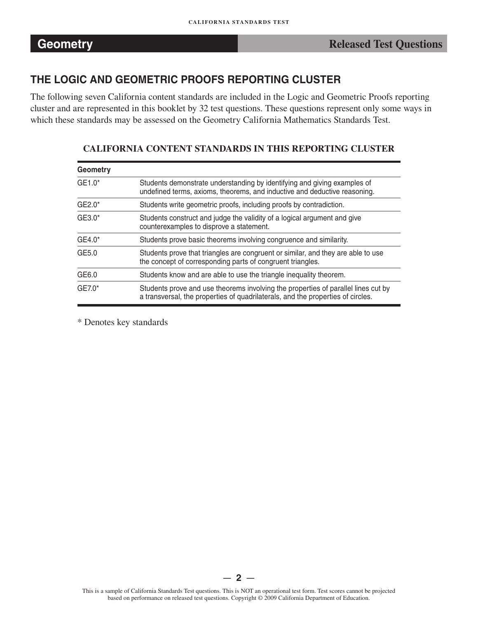# **THE LOGIC AND GEOMETRIC PROOFS REPORTING CLUSTER**

The following seven California content standards are included in the Logic and Geometric Proofs reporting cluster and are represented in this booklet by 32 test questions. These questions represent only some ways in which these standards may be assessed on the Geometry California Mathematics Standards Test.

| Geometry |                                                                                                                                                                      |
|----------|----------------------------------------------------------------------------------------------------------------------------------------------------------------------|
| GE1.0*   | Students demonstrate understanding by identifying and giving examples of<br>undefined terms, axioms, theorems, and inductive and deductive reasoning.                |
| $GE2.0*$ | Students write geometric proofs, including proofs by contradiction.                                                                                                  |
| GE3.0*   | Students construct and judge the validity of a logical argument and give<br>counterexamples to disprove a statement.                                                 |
| GE4.0*   | Students prove basic theorems involving congruence and similarity.                                                                                                   |
| GE5.0    | Students prove that triangles are congruent or similar, and they are able to use<br>the concept of corresponding parts of congruent triangles.                       |
| GE6.0    | Students know and are able to use the triangle inequality theorem.                                                                                                   |
| $GE7.0*$ | Students prove and use theorems involving the properties of parallel lines cut by<br>a transversal, the properties of quadrilaterals, and the properties of circles. |

## **CALIFORNIA CONTENT STANDARDS IN THIS REPORTING CLUSTER**

\* Denotes key standards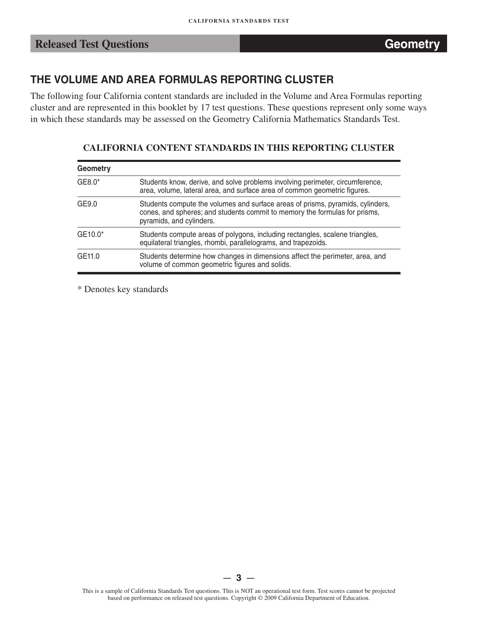# **THE VOLUME AND AREA FORMULAS REPORTING CLUSTER**

The following four California content standards are included in the Volume and Area Formulas reporting cluster and are represented in this booklet by 17 test questions. These questions represent only some ways in which these standards may be assessed on the Geometry California Mathematics Standards Test.

## **CALIFORNIA CONTENT STANDARDS IN THIS REPORTING CLUSTER**

| <b>Geometry</b> |                                                                                                                                                                                          |
|-----------------|------------------------------------------------------------------------------------------------------------------------------------------------------------------------------------------|
| $GE8.0*$        | Students know, derive, and solve problems involving perimeter, circumference,<br>area, volume, lateral area, and surface area of common geometric figures.                               |
| GE9.0           | Students compute the volumes and surface areas of prisms, pyramids, cylinders,<br>cones, and spheres; and students commit to memory the formulas for prisms,<br>pyramids, and cylinders. |
| GE10.0*         | Students compute areas of polygons, including rectangles, scalene triangles,<br>equilateral triangles, rhombi, parallelograms, and trapezoids.                                           |
| GE11.0          | Students determine how changes in dimensions affect the perimeter, area, and<br>volume of common geometric figures and solids.                                                           |

\* Denotes key standards

 $3 -$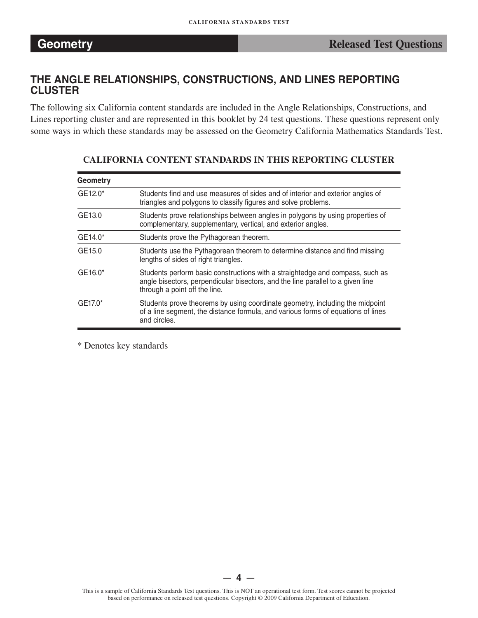## **THE ANGLE RELATIONSHIPS, CONSTRUCTIONS, AND LINES REPORTING CLUSTER**

The following six California content standards are included in the Angle Relationships, Constructions, and Lines reporting cluster and are represented in this booklet by 24 test questions. These questions represent only some ways in which these standards may be assessed on the Geometry California Mathematics Standards Test.

| Geometry |                                                                                                                                                                                                   |
|----------|---------------------------------------------------------------------------------------------------------------------------------------------------------------------------------------------------|
| GE12.0*  | Students find and use measures of sides and of interior and exterior angles of<br>triangles and polygons to classify figures and solve problems.                                                  |
| GE13.0   | Students prove relationships between angles in polygons by using properties of<br>complementary, supplementary, vertical, and exterior angles.                                                    |
| GE14.0*  | Students prove the Pythagorean theorem.                                                                                                                                                           |
| GE15.0   | Students use the Pythagorean theorem to determine distance and find missing<br>lengths of sides of right triangles.                                                                               |
| GE16.0*  | Students perform basic constructions with a straightedge and compass, such as<br>angle bisectors, perpendicular bisectors, and the line parallel to a given line<br>through a point off the line. |
| GE17.0*  | Students prove theorems by using coordinate geometry, including the midpoint<br>of a line segment, the distance formula, and various forms of equations of lines<br>and circles.                  |

## **CALIFORNIA CONTENT STANDARDS IN THIS REPORTING CLUSTER**

\* Denotes key standards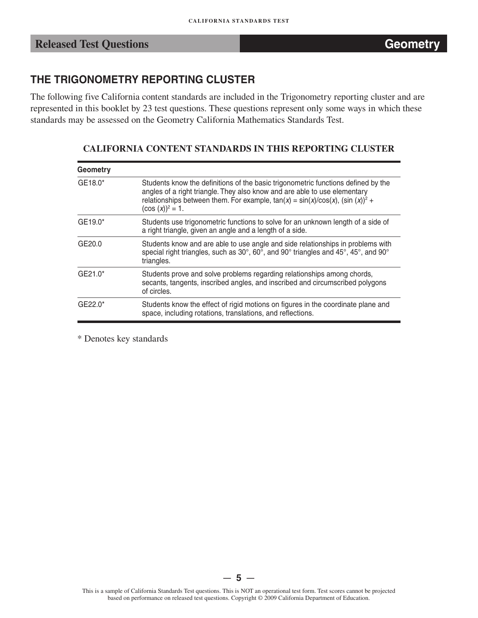# **THE TRIGONOMETRY REPORTING CLUSTER**

The following five California content standards are included in the Trigonometry reporting cluster and are represented in this booklet by 23 test questions. These questions represent only some ways in which these standards may be assessed on the Geometry California Mathematics Standards Test.

## **CALIFORNIA CONTENT STANDARDS IN THIS REPORTING CLUSTER**

| <b>Geometry</b> |                                                                                                                                                                                                                                                                            |
|-----------------|----------------------------------------------------------------------------------------------------------------------------------------------------------------------------------------------------------------------------------------------------------------------------|
| GE18.0*         | Students know the definitions of the basic trigonometric functions defined by the<br>angles of a right triangle. They also know and are able to use elementary<br>relationships between them. For example, $tan(x) = sin(x)/cos(x)$ , $(sin(x))^2 +$<br>$(cos (x))^2 = 1.$ |
| GE19.0*         | Students use trigonometric functions to solve for an unknown length of a side of<br>a right triangle, given an angle and a length of a side.                                                                                                                               |
| GE20.0          | Students know and are able to use angle and side relationships in problems with<br>special right triangles, such as 30°, 60°, and 90° triangles and 45°, 45°, and 90°<br>triangles.                                                                                        |
| $GE21.0*$       | Students prove and solve problems regarding relationships among chords,<br>secants, tangents, inscribed angles, and inscribed and circumscribed polygons<br>of circles.                                                                                                    |
| $GE22.0*$       | Students know the effect of rigid motions on figures in the coordinate plane and<br>space, including rotations, translations, and reflections.                                                                                                                             |

\* Denotes key standards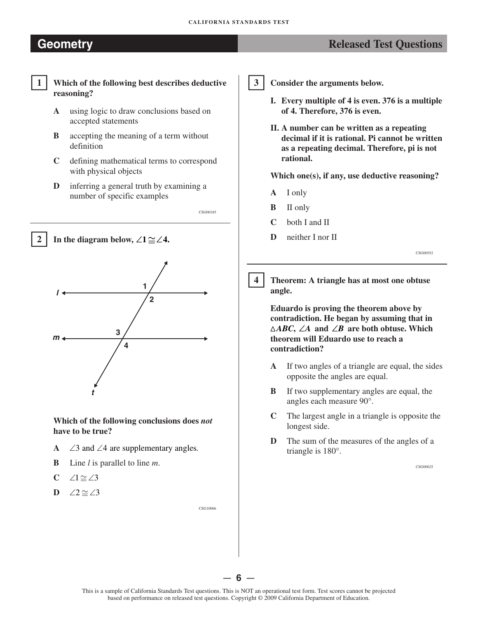# **Geometry** *Released Test Questions*



**1 Which of the following best describes deductive reasoning?** 

- **A** using logic to draw conclusions based on accepted statements
- **B** accepting the meaning of a term without definition
- **C** defining mathematical terms to correspond with physical objects
- **D** inferring a general truth by examining a number of specific examples

CSG00185





**Which of the following conclusions does** *not*  **have to be true?** 

- **A** ∠ 3and ∠4 are supplementary angles.
- **B** Line *l* is parallel to line *m*.
- **C** ∠1 $\cong$ ∠3
- **D** ∠2 $\cong$ ∠3

-**3** 

**Consider the arguments below.** 

- **I. Every multiple of 4 is even. 376 is a multiple of 4. Therefore, 376 is even.**
- **II. A number can be written as a repeating decimal if it is rational. Pi cannot be written as a repeating decimal. Therefore, pi is not rational.**

**Which one(s), if any, use deductive reasoning?** 

- **A** I only
- **B** II only
- **C** both I and II
- **D** neither I nor II

CSG00552

 $\overline{\mathbf{4}}$ **4 Theorem: A triangle has at most one obtuse angle.** 

**Eduardo is proving the theorem above by contradiction. He began by assuming that in �***ABC***, ∠***A* **and ∠***B* **are both obtuse. Which theorem will Eduardo use to reach a contradiction?** 

- **A**  If two angles of a triangle are equal, the sides opposite the angles are equal.
- **B**  If two supplementary angles are equal, the angles each measure 90°.
- **C**  The largest angle in a triangle is opposite the longest side.
- **D**  The sum of the measures of the angles of a triangle is 180°.

CSG00025

— **6** —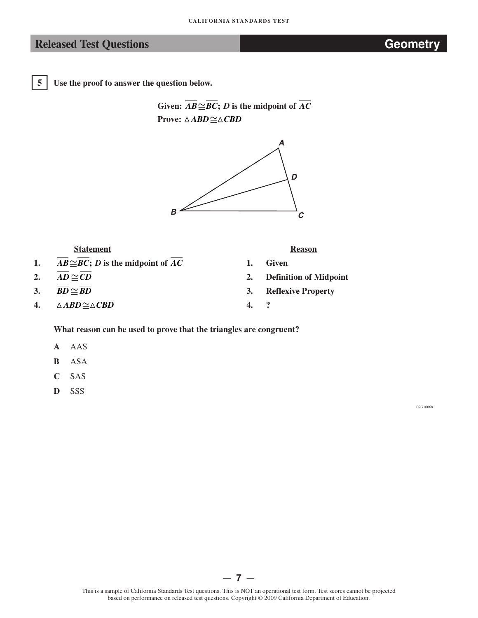5

**5 Use the proof to answer the question below.** 

Given:  $\overline{AB} \cong \overline{BC}$ ; *D* is the midpoint of  $\overline{AC}$ **Prove:**  $\triangle ABD \cong \triangle CBD$ 



| <b>Statement</b> |                                                       | <b>Reason</b> |                               |  |
|------------------|-------------------------------------------------------|---------------|-------------------------------|--|
| 1.               | $AB \cong BC$ ; <i>D</i> is the midpoint of <i>AC</i> |               | Given                         |  |
| 2.               | $AD \cong CD$                                         | 2.            | <b>Definition of Midpoint</b> |  |
| 3.               | $BD \simeq BD$                                        | 3.            | <b>Reflexive Property</b>     |  |
| 4.               | $\triangle ABD \cong \triangle CBD$                   | 4.            |                               |  |
|                  |                                                       |               |                               |  |

## **What reason can be used to prove that the triangles are congruent?**

- **A** AAS
- **B** ASA
- **C** SAS
- **D** SSS

CSG10068

— **7** —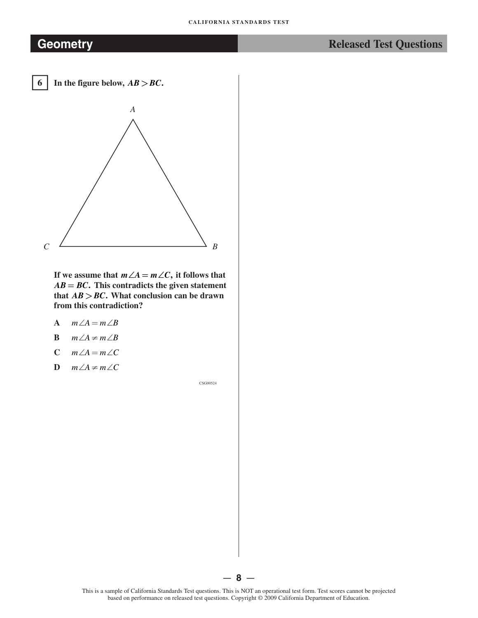-

In the figure below,  $AB > BC$ .



**If we assume that**  $m \angle A = m \angle C$ , it follows that  $AB = BC$ . This contradicts the given statement **that** *AB* **>***BC***. What conclusion can be drawn from this contradiction?** 

- **A**  *m*∠ $A = m ∠ B$
- **B**  *m*∠ $A$  ≠  $m$ ∠ $B$
- **C**   $m∠A = m∠C$
- **D**  *m*∠ $A$  ≠  $m$ ∠ $C$

CSG00524

This is a sample of California Standards Test questions. This is NOT an operational test form. Test scores cannot be projected based on performance on released test questions. Copyright © 2009 California Department of Education.

— **8** —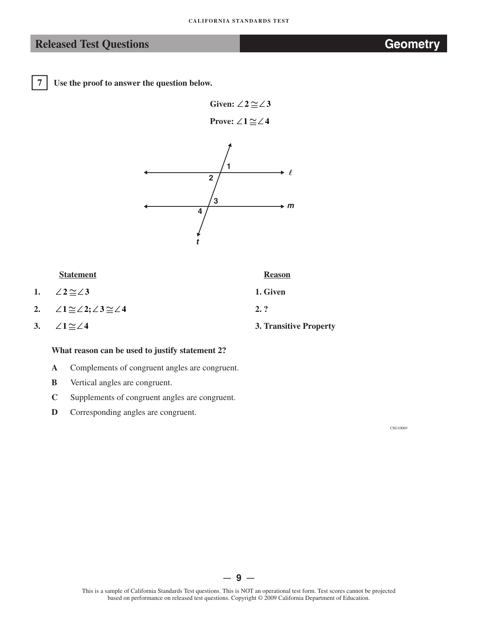-

**7 Use the proof to answer the question below.**

**Given:**  $\angle 2 \cong \angle 3$ 

 **Prove:** ∠1 $\cong$ ∠4



## **Statement Reason**

- **1.**  $\angle 2 \cong \angle 3$  **1. Given**
- **2. ∠ ≅1 ∠ ∠≅ 2; 3 ∠ 4 2. ?**
- **3.**  $\angle 1 \cong \angle 4$  **3.** Transitive Property

## **What reason can be used to justify statement 2?**

- **A** Complements of congruent angles are congruent.
- **B** Vertical angles are congruent.
- **C**  Supplements of congruent angles are congruent.
- **D** Corresponding angles are congruent.

CSG10069

## — **9** —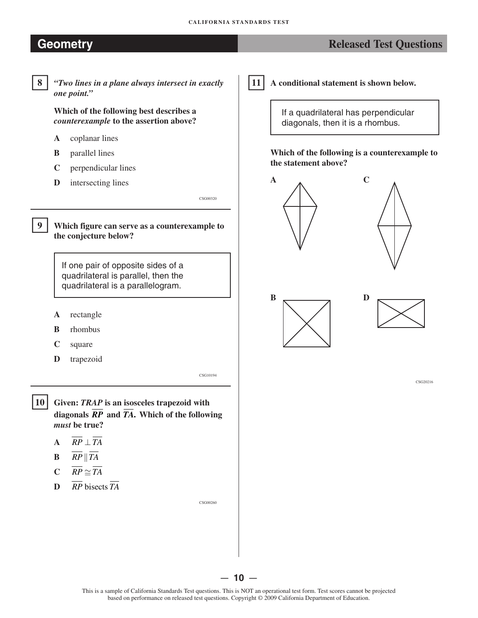# **Geometry Constant Constant Constant Constant Constant Constant Constant Constant Constant Constant Constant Constant Constant Constant Constant Constant Constant Constant Constant Constant Constant Constant Constant Con**

## 8

**8** *"Two lines in a plane always intersect in exactly one point."* 

**Which of the following best describes a**  *counterexample* **to the assertion above?** 

- **A** coplanar lines
- **B** parallel lines
- **C** perpendicular lines
- **D** intersecting lines

-**9 Which figure can serve as a counterexample to the conjecture below?** 

> If one pair of opposite sides of a quadrilateral is parallel, then the quadrilateral is a parallelogram.

- **A** rectangle
- **B** rhombus
- **C** square
- **D** trapezoid

CSG10194

CSG00320

 $|10|$ **10 Given:** *TRAP* **is an isosceles trapezoid with diagonals** *RP* **and** *TA***. Which of the following**  *must* **be true?** 

- **A**  $\overline{RP} \perp \overline{TA}$
- **B**  $\overline{RP} \parallel \overline{TA}$
- $C$   $\overline{RP} \simeq \overline{TA}$
- **D**  $\overline{RP}$  bisects  $\overline{TA}$

CSG00260

-**11 A conditional statement is shown below.** 

> If a quadrilateral has perpendicular diagonals, then it is a rhombus.

**Which of the following is a counterexample to the statement above?** 







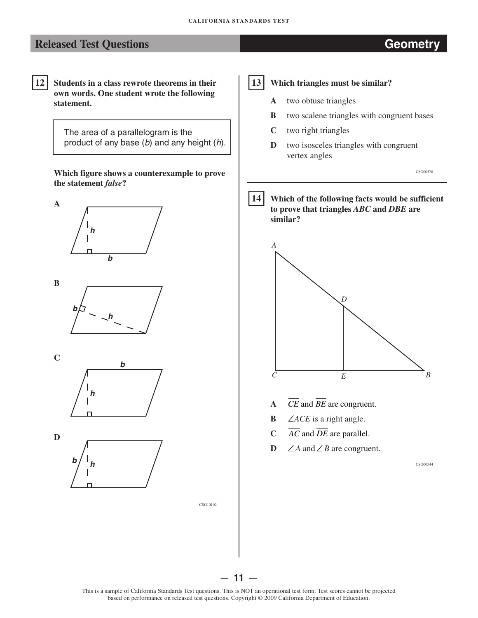-**12 Students in a class rewrote theorems in their own words. One student wrote the following statement.** 

> The area of a parallelogram is the product of any base (*b*) and any height (*h*).

**Which figure shows a counterexample to prove the statement** *false***?** 











CSG10102

## 13 **13 Which triangles must be similar?**

- **A** two obtuse triangles
- **B** two scalene triangles with congruent bases
- **C** two right triangles
- **D** two isosceles triangles with congruent vertex angles

CSG00578

## $|14|$ **14 Which of the following facts would be sufficient to prove that triangles** *ABC* **and** *DBE* **are similar?**



- **A**  *CE* and *BE* are congruent.
- **B ∠***ACE* is a right angle.
- **C**  *AC* and *DE* are parallel.
- **D**  ∠ $A$  and ∠ $B$  are congruent.

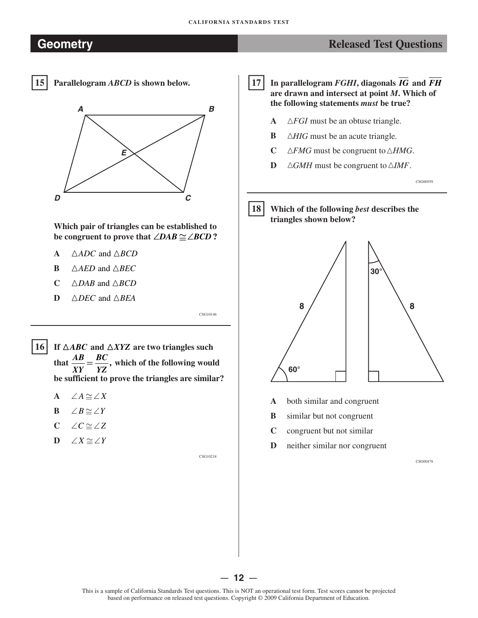# **Geometry Released Test Questions** *Released Test Questions*

15

**15 Parallelogram** *ABCD* **is shown below.** 



**Which pair of triangles can be established to be congruent to prove that**  $∠DAB \cong ∠BCD$ **?** 

- **A**  $\triangle ADC$  and  $\triangle BCD$
- **B**  $\triangle AED$  and  $\triangle BEC$
- **<sup>C</sup>**�*DAB* and �*BCD*
- $D \triangle DEC$  and  $\triangle BEA$

 $16$ If  $\triangle ABC$  and  $\triangle XYZ$  are two triangles such that  $\frac{AB}{\mu} = \frac{BC}{\mu}$ , which of the following would *XY YZ*  **be sufficient to prove the triangles are similar?** 

- **A** ∠ $A \simeq \angle X$
- **B** ∠*B* $\cong$ ∠*Y*
- **C** ∠ ≅*C* ∠*Z*
- **D** ∠ ≅*X* ∠*Y*

CSG10218

CSG10146

17 **17 In parallelogram** *FGHI***, diagonals** *IG* **and** *FH*  **are drawn and intersect at point** *M***. Which of the following statements** *must* **be true?** 

- **A**  �*FGI* must be an obtuse triangle.
- **B**  △*HIG* must be an acute triangle.
- **C**   $\triangle FMG$  must be congruent to  $\triangle HMG$ .
- **D**   $\triangle GMH$  must be congruent to  $\triangle IMF$ .

CSG00559

18 **18 Which of the following** *best* **describes the triangles shown below?** 



- **A** both similar and congruent
- **B** similar but not congruent
- **C** congruent but not similar
- **D** neither similar nor congruent

CSG00478

This is a sample of California Standards Test questions. This is NOT an operational test form. Test scores cannot be projected based on performance on released test questions. Copyright © 2009 California Department of Education.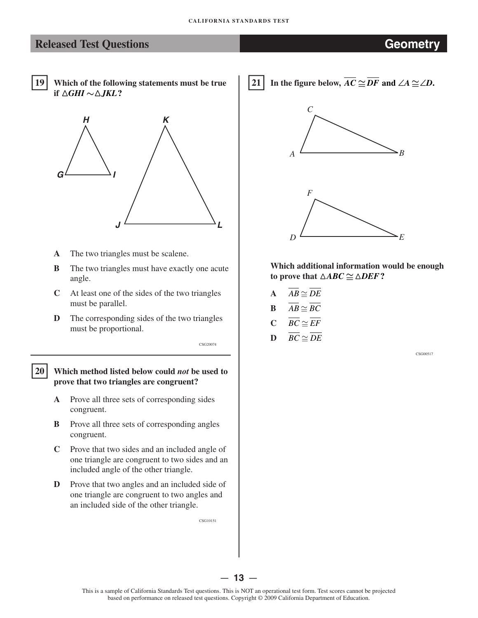19 **19 Which of the following statements must be true if**  $\triangle GHI \sim \triangle JKL$ ?



- **A**  The two triangles must be scalene.
- **B** The two triangles must have exactly one acute angle.
- **C**  At least one of the sides of the two triangles must be parallel.
- **D** The corresponding sides of the two triangles must be proportional.

**20 Which method listed below could** *not* **be used to prove that two triangles are congruent?** 

20

- **A**  Prove all three sets of corresponding sides congruent.
- **B** Prove all three sets of corresponding angles congruent.
- **C**  Prove that two sides and an included angle of one triangle are congruent to two sides and an included angle of the other triangle.
- **D** Prove that two angles and an included side of one triangle are congruent to two angles and an included side of the other triangle.

CSG10151

CSG20074

21 **In the figure below,**  $\overline{AC}$   $\cong$   $\overline{DF}$  and  $\angle A$   $\cong$   $\angle D$ .





**Which additional information would be enough to prove that**  $\triangle ABC \cong \triangle DEF$ ?

- $\overline{AB} \simeq \overline{DE}$
- **B**  $\overline{AB} \cong BC$
- $C$   $\overline{BC} \simeq \overline{EF}$
- $\overline{DC} \cong \overline{DE}$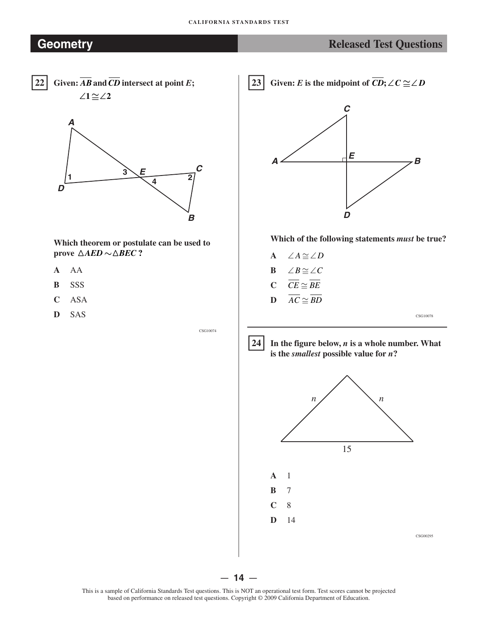



**Which theorem or postulate can be used to prove**  $\triangle AED \sim \triangle BEC$  ?

- **A**  AA
- **B**  SSS
- **C**  ASA
- **D**  SAS

 $23<sup>1</sup>$ Given: *E* is the midpoint of  $\overline{CD}$ ;  $\angle C \cong \angle D$ 



## **Which of the following statements** *must* **be true?**

**A B C D**  ∠ ≅*A* ∠*D*  ∠ ≅*B* ∠*C*   $\overline{CE} \cong \overline{BE}$  $\overline{AC} \cong \overline{BD}$ 

CSG10078





— **14** —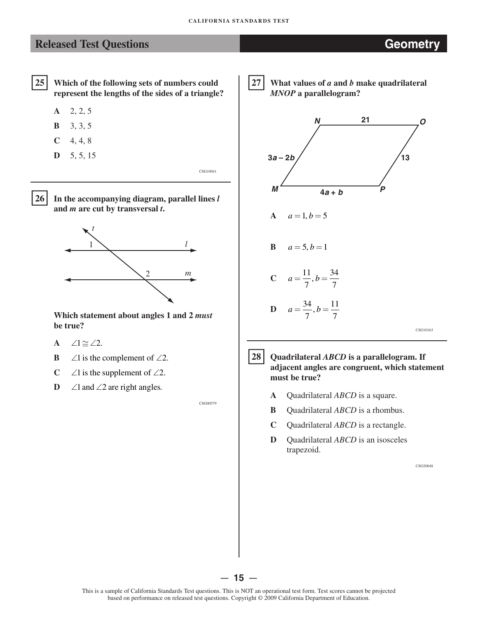## **Released Test Questions Geometry**



- **A** 2, 2, 5
- **B** 3, 3, 5
- $C = 4, 4, 8$
- **D** 5, 5, 15

CSG10041

 $26<sup>1</sup>$ 

 **26 In the accompanying diagram, parallel lines** *<sup>l</sup>* **and** *m* **are cut by transversal** *t***.**



**Which statement about angles 1 and 2** *must* **be true?**

- **A** ∠1  $\cong$  ∠2.
- **B**  $\angle 1$  is the complement of  $\angle 2$ .
- **C**  $\angle 2$  *L* is the supplement of  $\angle 2$ *.*
- **D**  $\angle$ 1 and  $\angle$ 2 are right angles.

CSG00579

27

 **27 What values of** *a* **and** *b* **make quadrilateral**  *MNOP* **a parallelogram?**



 $|28|$ 

 **28 Quadrilateral** *ABCD* **is a parallelogram. If adjacent angles are congruent, which statement must be true?**

- **A** Quadrilateral *ABCD* is a square.
- **B** Quadrilateral *ABCD* is a rhombus.
- **C** Quadrilateral *ABCD* is a rectangle.
- **D** Quadrilateral *ABCD* is an isosceles trapezoid.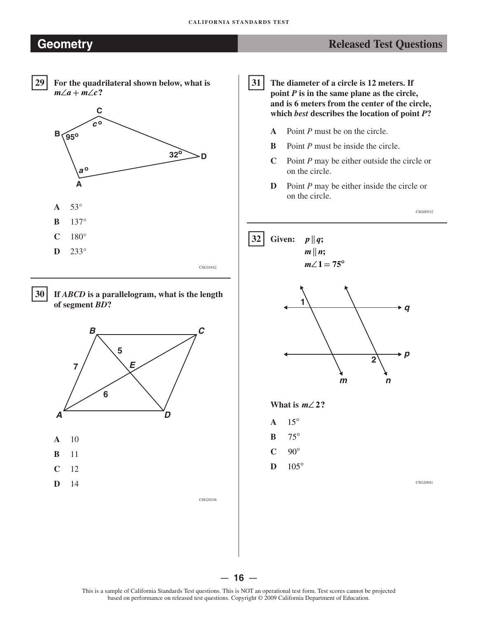## **Geometry Constant Constant Constant Constant Constant Constant Constant Constant Constant Constant Constant Constant Constant Constant Constant Constant Constant Constant Constant Constant Constant Constant Constant Con**



For the quadrilateral shown below, what is  $m\angle a + m\angle c$ ?







CSG20236

31 **31 The diameter of a circle is 12 meters. If point**  $P$  **is in the same plane as the circle, and is 6 meters from the center of the circle, which** *best* **describes the location of point** *P***?** 

- **A** Point *P* must be on the circle.
- **B** Point *P* must be inside the circle.
- **C** Point *P* may be either outside the circle or on the circle.
- **D** Point *P* may be either inside the circle or on the circle.

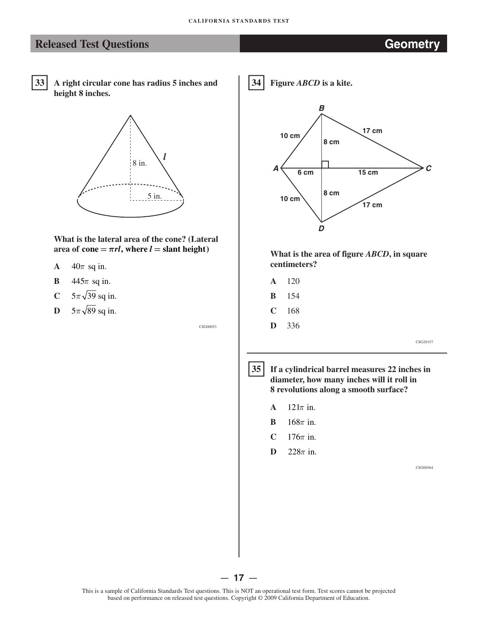## **Released Test Questions <b>CEOMETRY Geometry**



**A right circular cone has radius 5 inches and height 8 inches.** 



**What is the lateral area of the cone? (Lateral**  area of cone  $= \pi r l$ , where  $l =$  slant height)

- **A**  $40\pi$  sq in.
- **B**  $445\pi$  sq in.
- **C**  $5\pi\sqrt{39}$  sq in.
- **D**  $5\pi\sqrt{89}$  sq in.

CSG00053

34 **34 Figure** *ABCD* **is a kite.** 



**What is the area of figure** *ABCD***, in square centimeters?** 

- **A** 120
- **B** 154
- **C** 168
- **D** 336

CSG20157

 $|35|$ **35 If a cylindrical barrel measures 22 inches in diameter, how many inches will it roll in 8 revolutions along a smooth surface?** 

- **A** 121*π* in.
- **B** 168*π* in.
- **C**  $176\pi$  in.
- **D**  $228\pi$  in.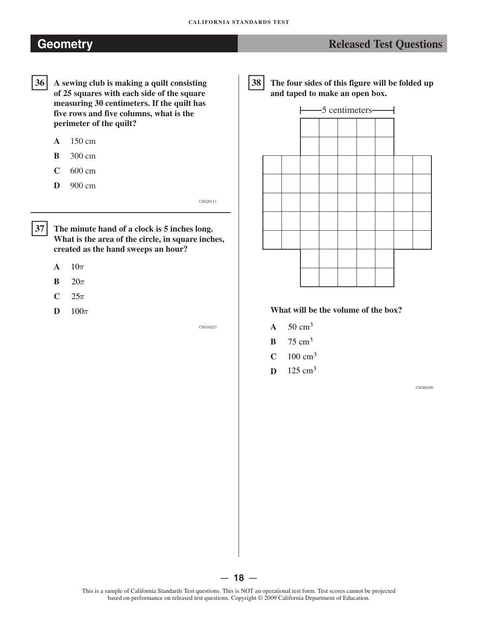# **Geometry Constants and Constants and Constants and Constants and Constants and Constants and Constants and Constants and Constants and Constants and Constants and Constants and Constants and Constants and Constants and**

- $36$ **36 A sewing club is making a quilt consisting of 25 squares with each side of the square measuring 30 centimeters. If the quilt has five rows and five columns, what is the perimeter of the quilt?** 
	- **A** 150 cm
	- **B** 300 cm
	- **C** 600 cm
	- **D** 900 cm

**37 The minute hand of a clock is 5 inches long. What is the area of the circle, in square inches, created as the hand sweeps an hour?** 

 $A = 10\pi$ 

 $|37|$ 

- $B = 20\pi$
- $C = 25\pi$
- $D = 100\pi$

CSG10223

CSG20111

38 **38 The four sides of this figure will be folded up and taped to make an open box.** 



## **What will be the volume of the box?**

- $A = 50 \text{ cm}^3$
- $B$  75 cm<sup>3</sup>
- $C = 100 \text{ cm}^3$
- **D**  $125 \text{ cm}^3$

CSG00299

based on performance on released test questions. Copyright © 2009 California Department of Education.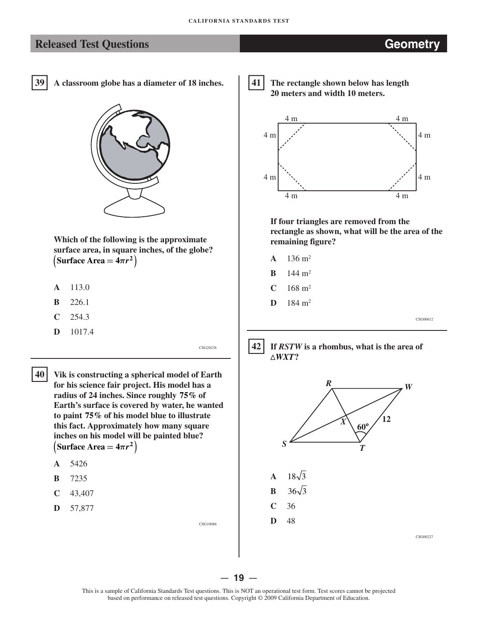## **Released Test Questions Geometry**

39 **39 A classroom globe has a diameter of 18 inches.**



**Which of the following is the approximate surface area, in square inches, of the globe?**   $(\text{Surface Area} = 4\pi r^2)$ 

- **A** 113.0
- **B** 226.1
- **C** 254.3
- **D** 1017.4

CSG20238

CSG10086

 $40<sup>1</sup>$ 

 **40 Vik is constructing a spherical model of Earth for his science fair project. His model has a radius of 24 inches. Since roughly 75% of Earth's surface is covered by water, he wanted to paint 75% of his model blue to illustrate this fact. Approximately how many square inches on his model will be painted blue?**  $(Surface Area = 4\pi r^2)$ 

- **A** 5426
- **B** 7235
- **C** 43,407
- **D** 57,877

41

 **41 The rectangle shown below has length 20 meters and width 10 meters.**



**If four triangles are removed from the rectangle as shown, what will be the area of the remaining figure?**

- **A**  $136 \text{ m}^2$
- **B**  $144 \text{ m}^2$
- $C = 168$  m<sup>2</sup>
- $D$  184 m<sup>2</sup>

CSG00012





— **19** —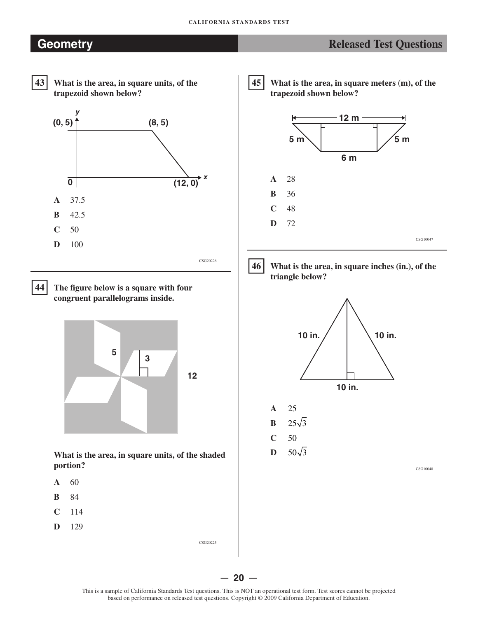# **Geometry Released Test Questions** *Released Test Questions*



**43 What is the area, in square units, of the trapezoid shown below?** 



44

**44 The figure below is a square with four congruent parallelograms inside.** 



**What is the area, in square units, of the shaded portion?** 

- **A** 60
- **B** 84
- **C** 114
- **D** 129

45

**45 What is the area, in square meters (m), of the trapezoid shown below?** 





**46 What is the area, in square inches (in.), of the triangle below?** 

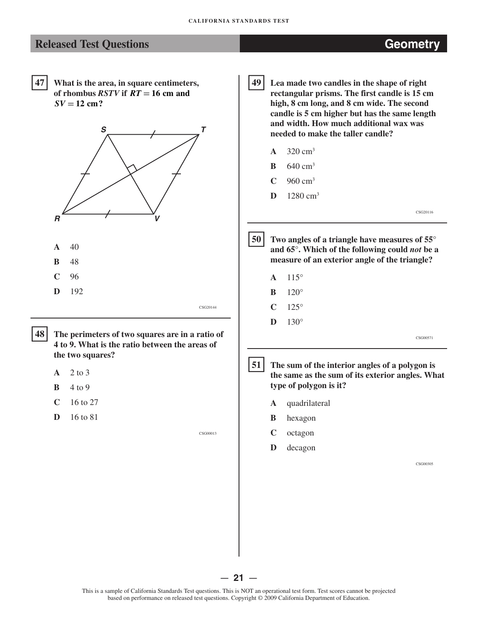

— **21** —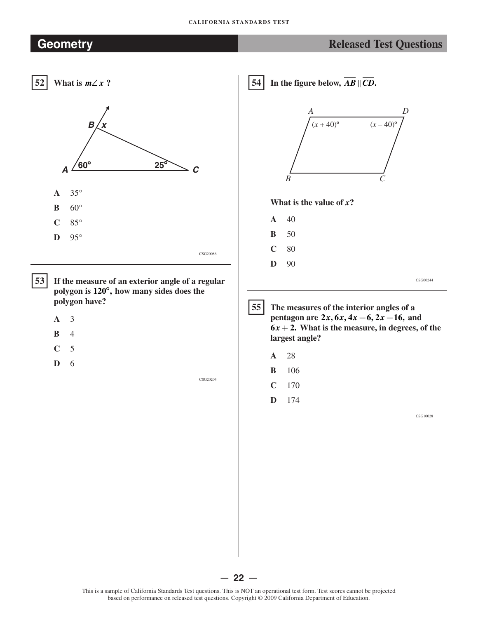## **CALIFORNIA STANDARDS TEST**

# **Geometry Released Test Questions Released Test Questions**



— **22** —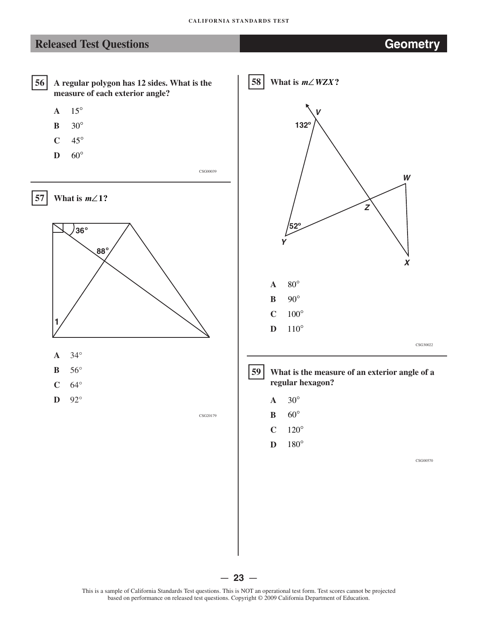58

# **Released Test Questions <b>CEO CEO ACCESS Geometry**



- **B**  30°
- **C**  45°
- **D**  60°

CSG00039



- **A**  34°
- **B**  56°
- **C**  64°
- **D**  92°

CSG20179

**What is**  $m \angle WZX$ **?** *V Y*  **132º 52º**  *Z X W*   $A \quad 80^\circ$ **B** 90° **C** 100° **D** 110° CSG30022  $\overline{59}$ **59 What is the measure of an exterior angle of a** 

- **regular hexagon?**   $A \quad 30^{\circ}$ **B** 60°
- $C \t120^\circ$
- **D** 180°

CSG00570



This is a sample of California Standards Test questions. This is NOT an operational test form. Test scores cannot be projected based on performance on released test questions. Copyright © 2009 California Department of Education.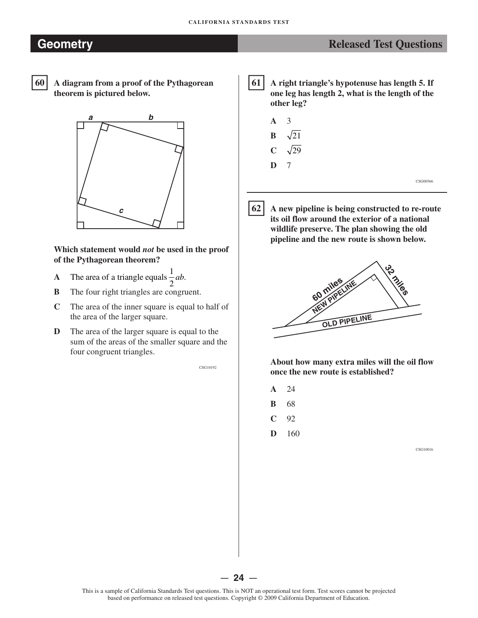# **Geometr y Released Test Questions**

- 60
- **60 A diagram from a proof of the Pythagorean theorem is pictured below.**



## **Which statement would** *not* **be used in the proof of the Pythagorean theorem?**

- **A** The area of a triangle equals  $\frac{1}{2}ab$ .<br>**B** The four right triangles are congru
- The four right triangles are congruent.
- **C**  The area of the inner square is equal to half of the area of the larger square.
- **D** The area of the larger square is equal to the sum of the areas of the smaller square and the four congruent triangles.

CSG10192

61 **61 A right triangle's hypotenuse has length 5. If one leg has length 2, what is the length of the other leg?** 

| $A \quad 3$    |                              |  |          |
|----------------|------------------------------|--|----------|
|                | $\mathbf{B} \quad \sqrt{21}$ |  |          |
|                | $C \sqrt{29}$                |  |          |
| $\mathbf{D}$ 7 |                              |  |          |
|                |                              |  | CSG00566 |

 $62$ **62 A new pipeline is being constructed to re-route its oil flow around the exterior of a national wildlife preserve. The plan showing the old pipeline and the new route is shown below.** 



**About how many extra miles will the oil flow once the new route is established?** 

- **A** 24
- **B** 68
- **C** 92
- **D** 160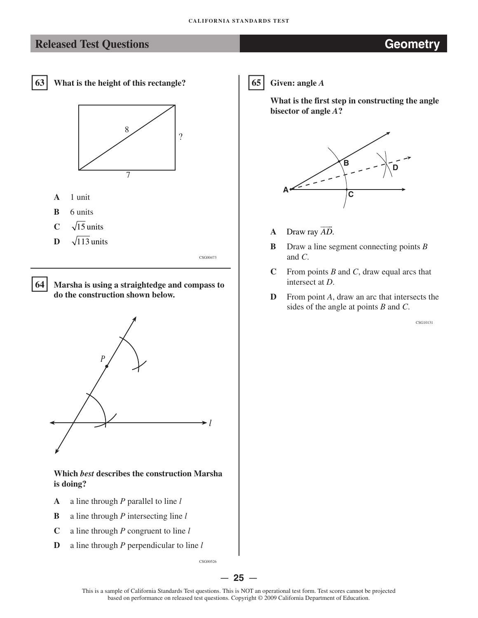

**63 What is the height of this rectangle?** 



- **A** 1 unit
- **B** 6 units
- $C = \sqrt{15}$  units
- $\overline{\mathbf{D}}$   $\sqrt{113}$  units

CSG00473

-**64** 

**Marsha is using a straightedge and compass to do the construction shown below.** 



**Which** *best* **describes the construction Marsha is doing?** 

- **A** a line through *P* parallel to line *l*
- **B** a line through *P* intersecting line *l*
- **C** a line through *P* congruent to line *l*
- **D** a line through *P* perpendicular to line *l*

CSG00526

 $65$ **65 Given: angle** *A* 

> **What is the first step in constructing the angle bisector of angle** *A***?**



- **A**  Draw ray *AD*.
- **B**  Draw a line segment connecting points *B*  and *C*.
- **C**  From points *B* and *C*, draw equal arcs that intersect at *D*.
- **D**  From point *A*, draw an arc that intersects the sides of the angle at points *B* and *C*.

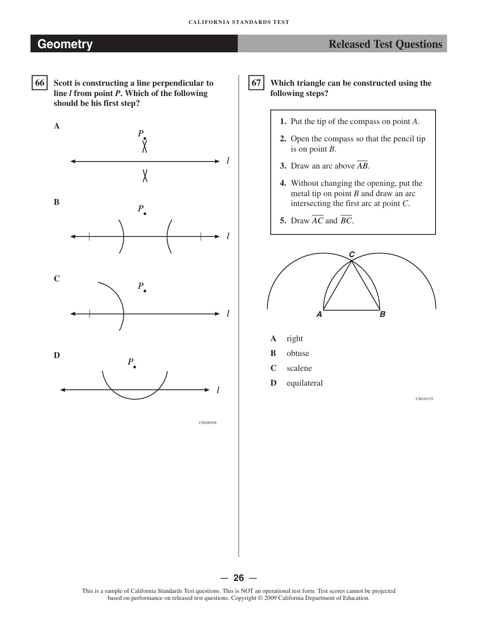# **Geometry CEO Released Test Questions Released Test Questions**



Scott is constructing a line perpendicular to **line** *l* **from point** *P***. Which of the following should be his first step?** 







CSG00308

67 **67 Which triangle can be constructed using the following steps?** 

- **1.** Put the tip of the compass on point *A*.
- **2.** Open the compass so that the pencil tip is on point *B*.
- **3.** Draw an arc above *AB*.
- **4.** Without changing the opening, put the metal tip on point *B* and draw an arc intersecting the first arc at point *C*.
- **5.** Draw  $\overline{AC}$  and  $\overline{BC}$ .



- **A**  right
- **B**  obtuse
- **C**  scalene
- **D**  equilateral

CSG10135



This is a sample of California Standards Test questions. This is NOT an operational test form. Test scores cannot be projected based on performance on released test questions. Copyright © 2009 California Department of Education.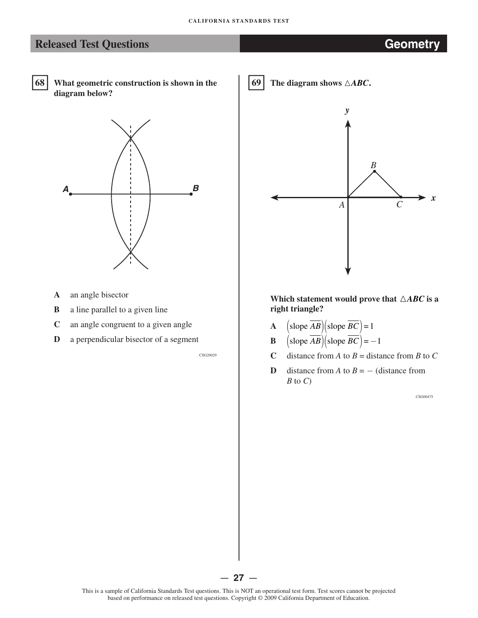- 68
- **68 What geometric construction is shown in the diagram below?**



- **A** an angle bisector
- **B** a line parallel to a given line
- **C** an angle congruent to a given angle
- **D** a perpendicular bisector of a segment

CSG20029





Which statement would prove that  $\triangle ABC$  is a **right triangle?** 

- **A**  $\left(\text{slope } \overline{AB}\right)\left(\text{slope } \overline{BC}\right) = 1$
- **B**  $\left(\text{slope } \overline{AB}\right)\left(\text{slope } \overline{BC}\right) = -1$
- **C** distance from *A* to  $B =$  distance from *B* to *C*
- **D** distance from *A* to  $B = -$  (distance from *B* to *C*)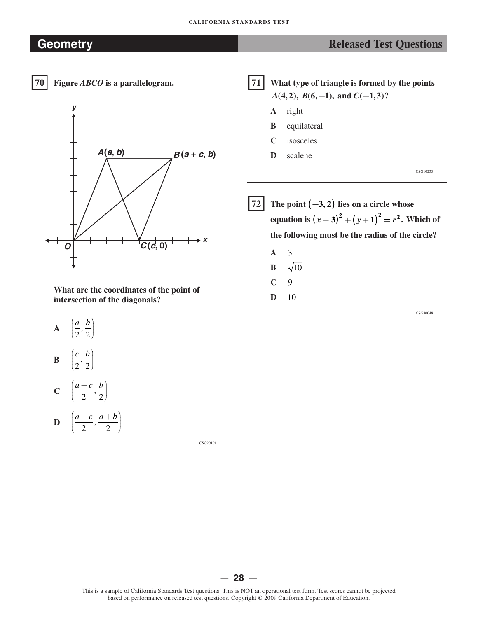# **Geometry Constants and Constants and Constants and Constants and Constants and Constants and Constants and Constants and Constants and Constants and Constants and Constants and Constants and Constants and Constants and** 70 **70 Figure** *ABCO* **is a parallelogram.**  *y x*   $A(a, b)$  $O$   $C(c, 0)$  $B(a + c, b)$ **What are the coordinates of the point of intersection of the diagonals?**   $\mathbf{A} = \left(\frac{a}{2}, \frac{b}{2}\right)$ **B**  $\left(\frac{c}{2}, \frac{b}{2}\right)$  $C \left( \frac{a+c}{2}, \frac{b}{2} \right)$ **D**  $\left(\frac{a+c}{2}, \frac{a+b}{2}\right)$  $71<sup>1</sup>$ **71 What type of triangle is formed by the points**  *A*(4,2), *B*(6,−1), and *C*(−1,3)? **A** right **B** equilateral **C** isosceles **D** scalene CSG10235  $72$ The point  $(-3, 2)$  lies on a circle whose **equation is**  $(x + 3)^2 + (y + 1)^2 = r^2$ **. Which of the following must be the radius of the circle? A** 3  $\mathbf{B} = \sqrt{10}$ **C** 9 **D** 10 CSG30048

CSG20101

This is a sample of California Standards Test questions. This is NOT an operational test form. Test scores cannot be projected based on performance on released test questions. Copyright © 2009 California Department of Education.

— **28** —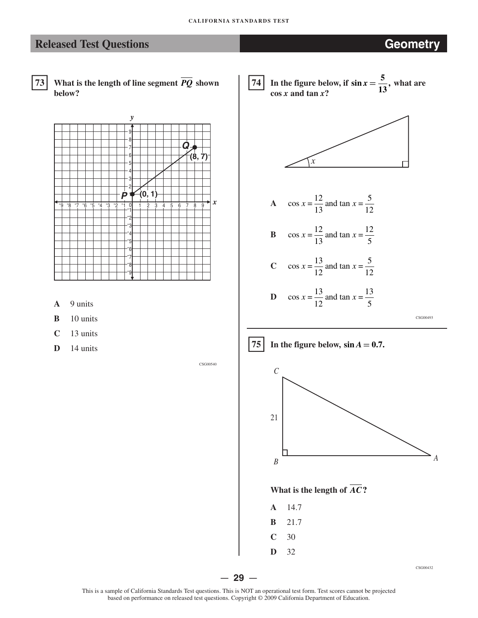# **Released Test Questions <b>CEO CEO ACCESS Geometry**

- 73
	- What is the length of line segment  $\overline{PQ}$  shown **below?**



- **A**  9 units
- **B**  10 units
- **C**  13 units
- **D**  14 units

CSG00540

74 **74** In the figure below, if  $\sin x = \frac{5}{10}$ , what are  $\cos x$  and  $\tan x$ ? **13** 



- **A**  $\cos x = \frac{12}{12}$ 13 and tan  $x = \frac{5}{12}$ 12  $x = \frac{12}{12}$  and tan x
- **B**  $\cos x = \frac{12}{12}$ 13 and tan  $x = \frac{12}{5}$ 5  $x = \frac{12}{12}$  and tan x
- **C**  $\cos x = \frac{13}{12}$ 12 and tan  $x = \frac{5}{12}$ 12  $x = \frac{15}{12}$  and tan x

**D** 
$$
\cos x = \frac{13}{12}
$$
 and  $\tan x = \frac{13}{5}$ 

CSG00493





**What is the length of**  $\overline{AC}$ **?** 

- **A** 14.7
- **B** 21.7
- **C** 30
- **D** 32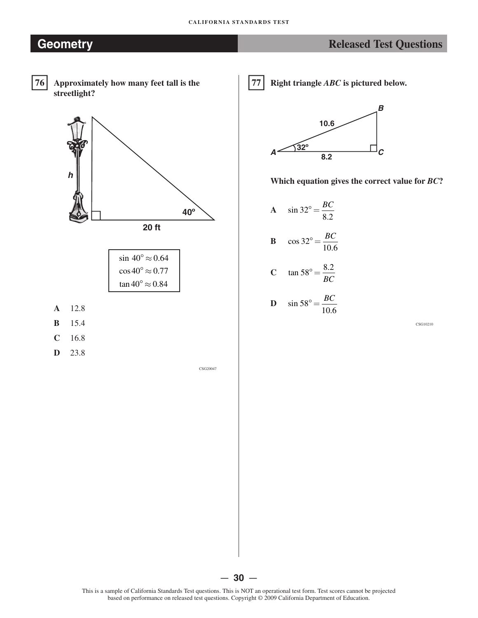# **Geometry Released Test Questions Released Test Questions**



 **76 Approximately how many feet tall is the streetlight?**



| $\sin 40^\circ \approx 0.64$ |
|------------------------------|
| $\cos 40^\circ \approx 0.77$ |
| $\tan 40^\circ \approx 0.84$ |

- **A** 12.8
- **B** 15.4
- **C** 16.8
- **D** 23.8

CSG20047

77 **77 Right triangle** *ABC* **is pictured below.**



**Which equation gives the correct value for** *BC***?**

A  $\sin 32^\circ = \frac{BC}{2.2}$ 8 2. **B**  $\cos 32^\circ = \frac{BC}{100}$ 10.6 **C**  $\tan 58^\circ = \frac{8.2}{2.2}$ *BC* **D**  $\sin 58^\circ = \frac{BC}{100}$ 10.6

CSG10210

This is a sample of California Standards Test questions. This is NOT an operational test form. Test scores cannot be projected based on performance on released test questions. Copyright © 2009 California Department of Education.

— **30** —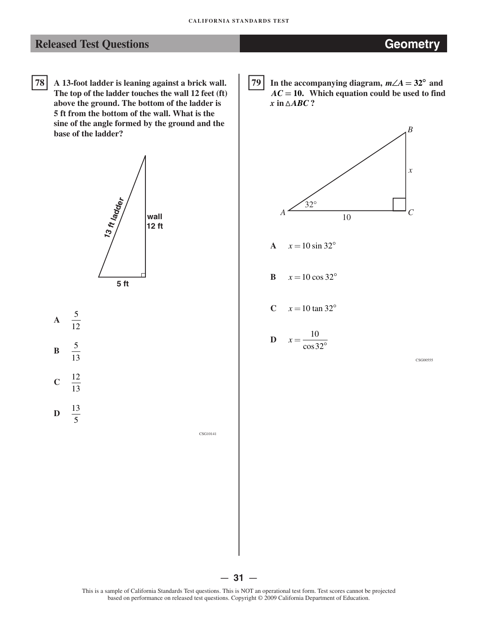78 **78 A 13-foot ladder is leaning against a brick wall. The top of the ladder touches the wall 12 feet (ft) above the ground. The bottom of the ladder is 5 ft from the bottom of the wall. What is the sine of the angle formed by the ground and the base of the ladder?** 





CSG10141

79 **In the accompanying diagram,**  $m∠A = 32^\circ$  **and**  $AC = 10$ . Which equation could be used to find  $x$  in  $\triangle ABC$  ?



$$
A \quad x = 10 \sin 32^{\circ}
$$

- **B**  $x = 10 \cos 32^{\circ}$
- **C**  $x = 10 \tan 32^{\circ}$

$$
D \quad x = \frac{10}{\cos 32^{\circ}}
$$

CSG00555

— **31** —

This is a sample of California Standards Test questions. This is NOT an operational test form. Test scores cannot be projected based on performance on released test questions. Copyright © 2009 California Department of Education.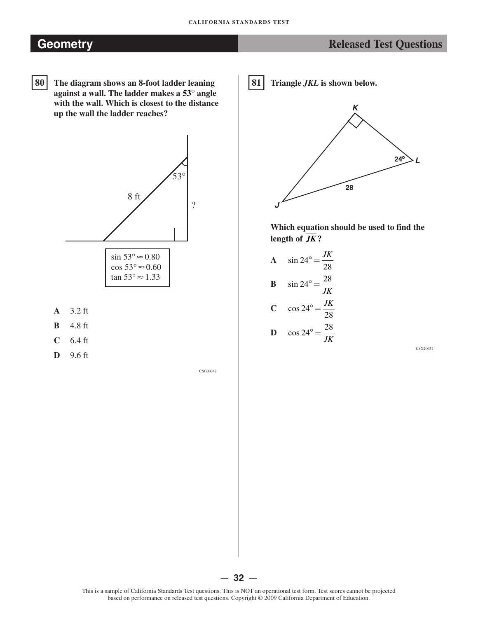# **Geometry CEO Released Test Questions Released Test Questions**

80 **80 The diagram shows an 8-foot ladder leaning against a wall. The ladder makes a 53� angle with the wall. Which is closest to the distance up the wall the ladder reaches?** 



- **B**  4.8 ft
- **C**  6.4 ft
- **D**  9.6 ft

CSG00342

-**81 Triangle** *JKL* **is shown below.** 



**Which equation should be used to find the**  length of  $\overline{JK}$ ?

A  $\sin 24^\circ = \frac{JK}{20}$ 28 **B**  $\sin 24^\circ = \frac{28}{11}$ *JK*  **C**  $\cos 24^\circ = \frac{JK}{20}$ 28 **D**  $\cos 24^\circ = \frac{28}{11}$ *JK* 

CSG20031

— **32** —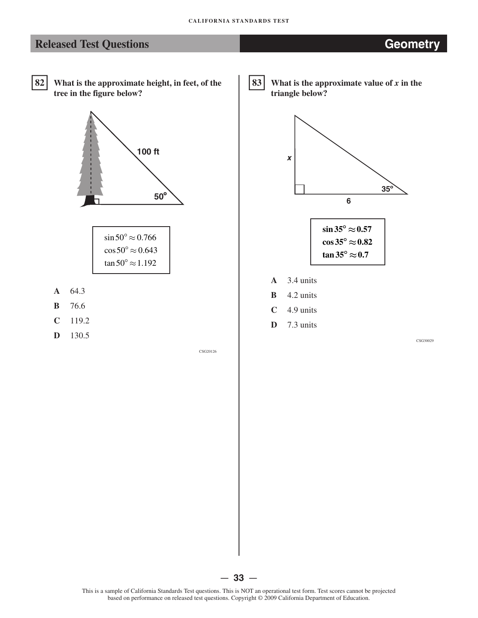# **Released Test Questions <b>CEO CEO ACCESS Geometry**

 $82$ **82 What is the approximate height, in feet, of the tree in the figure below?** 



| $\sin 50^\circ \approx 0.766$     |
|-----------------------------------|
| $\cos 50^\circ \approx 0.643$     |
| tan 50 $^{\circ}$ $\approx$ 1.192 |

- **A** 64.3
- **B** 76.6
- **C** 119.2
- **D** 130.5

CSG20126

83 What is the approximate value of  *in the* **triangle below?** 





- **A**  3.4 units
- **B**  4.2 units
- **C**  4.9 units
- **D**  7.3 units

CSG30029

— **33** —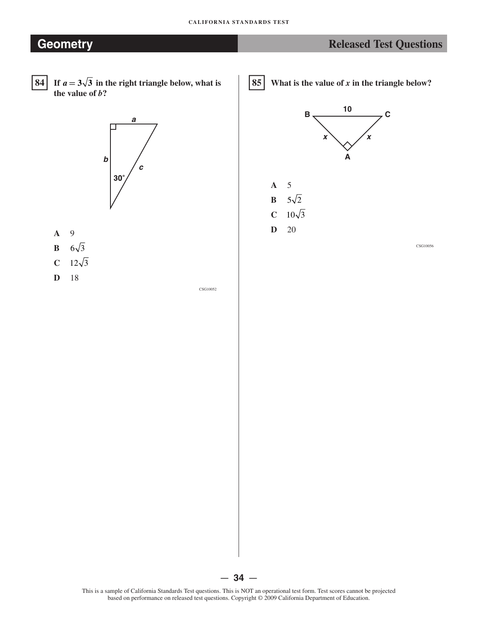# **Geometry Constant Constant Constant Constant Constant Constant Constant Constant Constant Constant Constant Constant Constant Constant Constant Constant Constant Constant Constant Constant Constant Constant Constant Con**

- $84$
- **84 If**  $a = 3\sqrt{3}$  in the right triangle below, what is **the value of** *b***?**



- **A** 9
- **B**  $6\sqrt{3}$
- **C**  $12\sqrt{3}$
- **D** 18

CSG10052

-**85 What is the value of** *x* **in the triangle below?** 

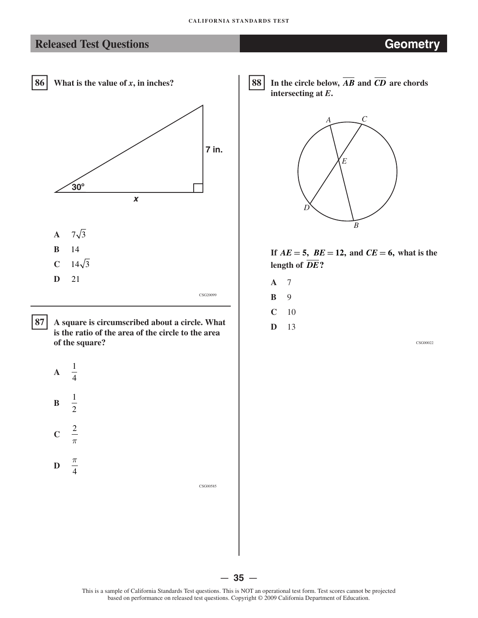# **Released Test Questions <b>CEO CEO ACCESS Geometry**



87 **87 A square is circumscribed about a circle. What is the ratio of the area of the circle to the area of the square?** 



**D**  4

CSG00585

88 In the circle below,  $\overline{AB}$  and  $\overline{CD}$  are chords **intersecting at** *E***.** 



- If  $AE = 5$ ,  $BE = 12$ , and  $CE = 6$ , what is the length of  $\overline{DE}$ ?
- **A** 7
- **B** 9
- **C** 10
- **D** 13

CSG00022

— **35** — This is a sample of California Standards Test questions. This is NOT an operational test form. Test scores cannot be projected based on performance on released test questions. Copyright © 2009 California Department of Education.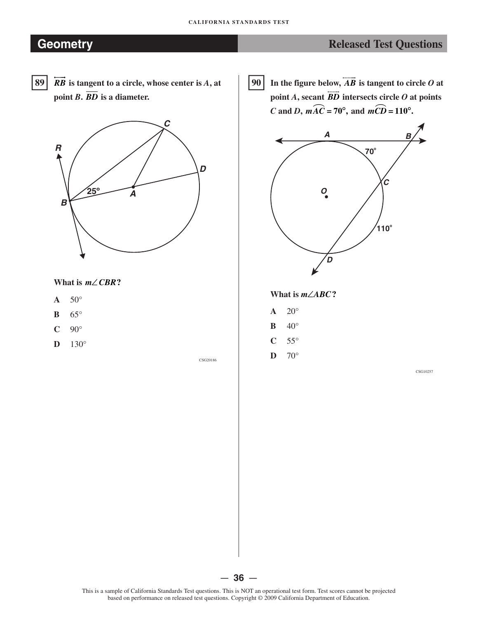# **Ceometry CEOMETRE CONSUMING THE EXAMPLE 2008 Released Test Questions**

- 89
- **��**  $\overleftrightarrow{RB}$  is tangent to a circle, whose center is  $\overrightarrow{A}$ , at point  $\overline{BD}$  is a diameter.



## **What is** *m***∠***CBR***?**

- $\mathbf{A}$  50 $^{\circ}$
- **B** 65°
- $C$  90 $^{\circ}$
- **D** 130°

CSG20186

 $90$ In the figure below,  $\overrightarrow{AB}$  is tangent to circle  $\overrightarrow{O}$  at **point** *A***, secant** *BD* **intersects circle** *O* **at points**  *C* and *D*,  $m\widehat{AC} = 70^\circ$ , and  $m\widehat{CD} = 110^\circ$ .



**What is** *m***∠***ABC***?** 

- $\mathbf{A}$  20°
- **B**  $40^{\circ}$
- $C$  55°
- $\mathbf{D}$  70°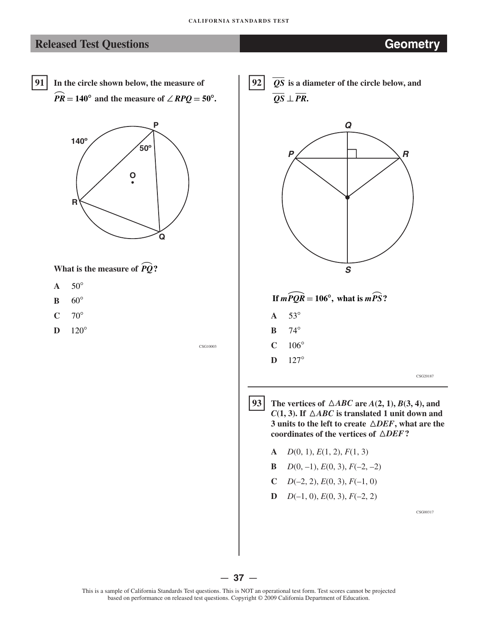## **Released Test Questions <b>CEOMETRY Geometry**

 $\widehat{PR} = 140^\circ$  and the measure of  $\angle RPQ = 50^\circ$ .  $91<sup>1</sup>$ **91 In the circle shown below, the measure of** 





- $A = 50^\circ$
- **B** 60°
- $C \t 70^\circ$
- **D** 120°

CSG10003

 $92$  $\overline{QS}$  is a diameter of the circle below, and  $\overline{OS}$  ⊥  $\overline{PR}$ .



- $93$ The vertices of  $\triangle ABC$  are  $A(2, 1), B(3, 4),$  and *C*(1, 3). If  $\triangle ABC$  is translated 1 unit down and **3 units to the left to create �***DEF***, what are the coordinates of the vertices of �***DEF***?** 
	- **A** *D*(0, 1), *E*(1, 2), *F*(1, 3)
	- **B**  $D(0, -1)$ ,  $E(0, 3)$ ,  $F(-2, -2)$
	- $C$  *D*(-2, 2), *E*(0, 3), *F*(-1, 0)
	- **D**  $D(-1, 0), E(0, 3), F(-2, 2)$

CSG00317

## — **37** —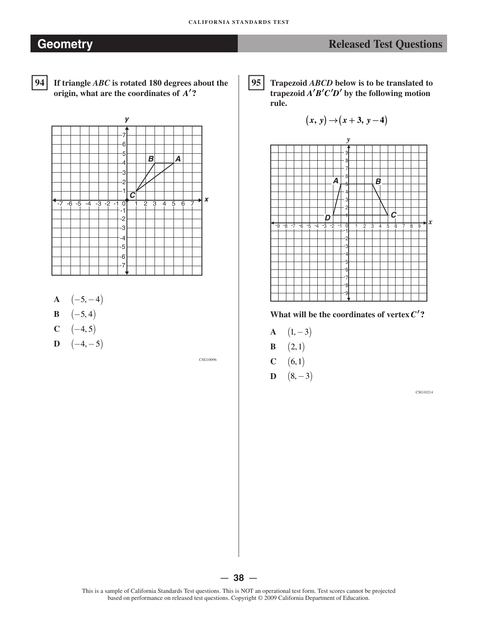$94$ 

**94 If triangle** *ABC* **is rotated 180 degrees about the origin, what are the coordinates of** *A***′?** 



- **A**  $(-5, -4)$
- **B**  $(-5, 4)$
- $C \quad (-4, 5)$
- **D**  $(-4,-5)$

CSG10096

|95 | **95 Trapezoid** *ABCD* **below is to be translated to**  trapezoid  $A'B'C'D'$  by the following motion **rule.** 

$$
(x, y) \rightarrow (x + 3, y - 4)
$$



What will be the coordinates of vertex  $C'$ ?

- **A**  $(1, -3)$
- **B**  $(2, 1)$
- **C**  $(6, 1)$
- **D**  $(8, -3)$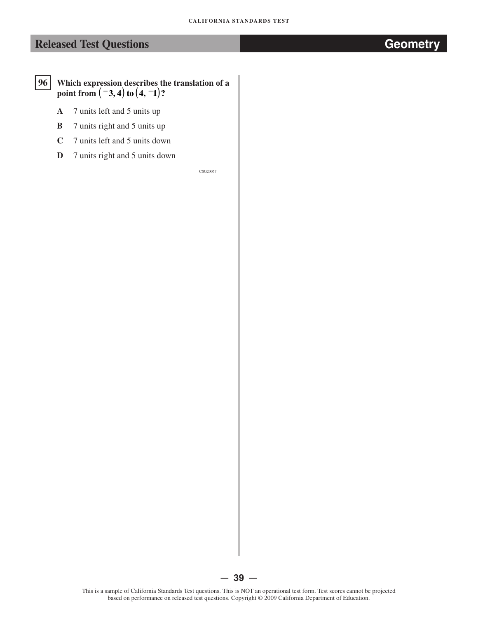## $96$ **96 Which expression describes the translation of a , ) ( point from ( <sup>−</sup>3 4 to 4, −1)?**

- **A** 7 units left and 5 units up
- **B** 7 units right and 5 units up
- **C** 7 units left and 5 units down
- **D** 7 units right and 5 units down

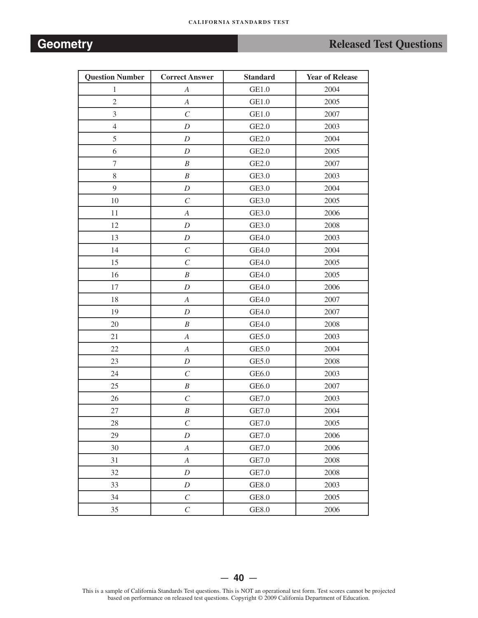# **Geometry Constant Constant Constant Constant Constant Constant Constant Constant Constant Constant Constant Constant Constant Constant Constant Constant Constant Constant Constant Constant Constant Constant Constant Con**

| <b>Question Number</b> | <b>Correct Answer</b>   | <b>Standard</b> | <b>Year of Release</b> |
|------------------------|-------------------------|-----------------|------------------------|
| $\mathbf{1}$           | $\boldsymbol{A}$        | GE1.0           | 2004                   |
| $\overline{2}$         | $\boldsymbol{A}$        | GE1.0           | 2005                   |
| $\overline{3}$         | $\cal C$                | GE1.0           | 2007                   |
| $\overline{4}$         | $\boldsymbol{D}$        | GE2.0           | 2003                   |
| 5                      | $\boldsymbol{D}$        | GE2.0           | 2004                   |
| 6                      | $\boldsymbol{D}$        | GE2.0           | 2005                   |
| $\tau$                 | $\boldsymbol{B}$        | GE2.0           | 2007                   |
| 8                      | $\boldsymbol{B}$        | GE3.0           | 2003                   |
| 9                      | $\boldsymbol{D}$        | GE3.0           | 2004                   |
| $10\,$                 | $\mathcal{C}_{0}^{0}$   | GE3.0           | 2005                   |
| 11                     | $\boldsymbol{A}$        | GE3.0           | 2006                   |
| 12                     | $\boldsymbol{D}$        | GE3.0           | 2008                   |
| 13                     | $\boldsymbol{D}$        | GE4.0           | 2003                   |
| 14                     | $\cal C$                | GE4.0           | 2004                   |
| 15                     | $\mathcal{C}_{0}^{(n)}$ | GE4.0           | 2005                   |
| 16                     | $\boldsymbol{B}$        | GE4.0           | 2005                   |
| 17                     | $\boldsymbol{D}$        | GE4.0           | 2006                   |
| 18                     | $\boldsymbol{A}$        | GE4.0           | 2007                   |
| 19                     | $\boldsymbol{D}$        | GE4.0           | 2007                   |
| 20                     | $\cal B$                | GE4.0           | 2008                   |
| 21                     | $\boldsymbol{A}$        | GE5.0           | 2003                   |
| 22                     | $\boldsymbol{A}$        | GE5.0           | 2004                   |
| 23                     | $\boldsymbol{D}$        | GE5.0           | 2008                   |
| 24                     | $\boldsymbol{C}$        | GE6.0           | 2003                   |
| 25                     | $\boldsymbol{B}$        | GE6.0           | 2007                   |
| 26                     | $\cal C$                | GE7.0           | 2003                   |
| 27                     | $\boldsymbol{B}$        | GE7.0           | 2004                   |
| 28                     | $\cal C$                | GE7.0           | 2005                   |
| 29                     | $\boldsymbol{D}$        | GE7.0           | 2006                   |
| 30                     | $\boldsymbol{A}$        | GE7.0           | 2006                   |
| 31                     | $\boldsymbol{A}$        | GE7.0           | 2008                   |
| 32                     | $\boldsymbol{D}$        | GE7.0           | 2008                   |
| 33                     | $\boldsymbol{D}$        | GE8.0           | 2003                   |
| 34                     | $\cal C$                | GE8.0           | 2005                   |
| 35                     | $\mathcal{C}_{0}$       | GE8.0           | 2006                   |

This is a sample of California Standards Test questions. This is NOT an operational test form. Test scores cannot be projected based on performance on released test questions. Copyright © 2009 California Department of Education.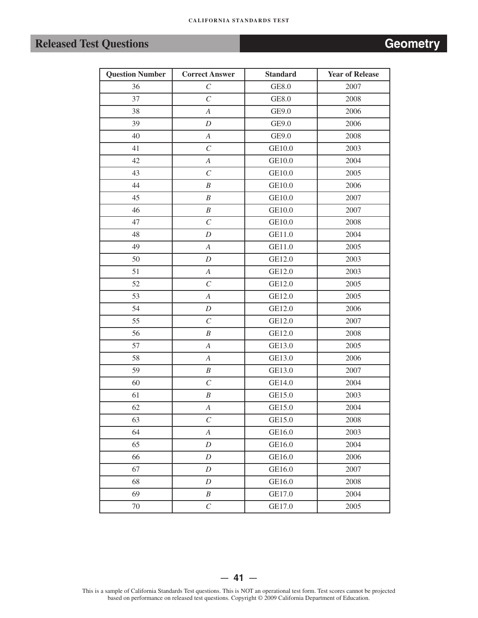# **Released Test Questions**

| Geometrv |  |  |
|----------|--|--|
|          |  |  |
|          |  |  |

| <b>Question Number</b> | <b>Correct Answer</b> | <b>Standard</b> | <b>Year of Release</b> |
|------------------------|-----------------------|-----------------|------------------------|
| 36                     | $\cal C$              | GE8.0           | 2007                   |
| 37                     | $\mathcal{C}_{0}^{0}$ | GE8.0           | 2008                   |
| 38                     | $\boldsymbol{A}$      | GE9.0           | 2006                   |
| 39                     | D                     | GE9.0           | 2006                   |
| 40                     | $\boldsymbol{A}$      | GE9.0           | 2008                   |
| 41                     | $\cal C$              | GE10.0          | 2003                   |
| 42                     | $\boldsymbol{A}$      | GE10.0          | 2004                   |
| 43                     | $\cal C$              | GE10.0          | 2005                   |
| 44                     | $\boldsymbol{B}$      | GE10.0          | 2006                   |
| 45                     | $\boldsymbol{B}$      | GE10.0          | 2007                   |
| 46                     | $\boldsymbol{B}$      | GE10.0          | 2007                   |
| 47                     | $\cal C$              | GE10.0          | 2008                   |
| 48                     | $\boldsymbol{D}$      | GE11.0          | 2004                   |
| 49                     | $\boldsymbol{A}$      | GE11.0          | 2005                   |
| 50                     | $\boldsymbol{D}$      | GE12.0          | 2003                   |
| 51                     | $\boldsymbol{A}$      | GE12.0          | 2003                   |
| 52                     | $\mathcal{C}_{0}^{0}$ | GE12.0          | 2005                   |
| 53                     | $\boldsymbol{A}$      | GE12.0          | 2005                   |
| 54                     | $\boldsymbol{D}$      | GE12.0          | 2006                   |
| 55                     | $\cal C$              | GE12.0          | 2007                   |
| 56                     | $\boldsymbol{B}$      | GE12.0          | 2008                   |
| 57                     | $\boldsymbol{A}$      | GE13.0          | 2005                   |
| 58                     | $\boldsymbol{A}$      | GE13.0          | 2006                   |
| 59                     | $\boldsymbol{B}$      | GE13.0          | 2007                   |
| 60                     | $\cal C$              | GE14.0          | 2004                   |
| 61                     | $\boldsymbol{B}$      | GE15.0          | 2003                   |
| 62                     | $\boldsymbol{A}$      | GE15.0          | 2004                   |
| 63                     | $\cal C$              | GE15.0          | 2008                   |
| 64                     | $\boldsymbol{A}$      | GE16.0          | 2003                   |
| 65                     | $\boldsymbol{D}$      | GE16.0          | 2004                   |
| 66                     | $\boldsymbol{D}$      | GE16.0          | 2006                   |
| 67                     | $\boldsymbol{D}$      | GE16.0          | 2007                   |
| 68                     | D                     | GE16.0          | 2008                   |
| 69                     | $\boldsymbol{B}$      | GE17.0          | 2004                   |
| $70\,$                 | $\cal C$              | GE17.0          | 2005                   |

This is a sample of California Standards Test questions. This is NOT an operational test form. Test scores cannot be projected based on performance on released test questions. Copyright © 2009 California Department of Education.